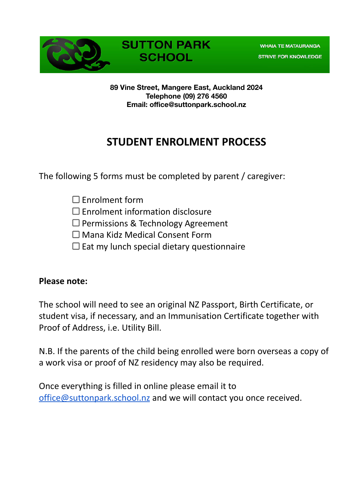

**89 Vine Street, Mangere East, Auckland 2024 Telephone (09) 276 4560 Email: office@suttonpark.school.nz**

# **STUDENT ENROLMENT PROCESS**

The following 5 forms must be completed by parent / caregiver:

- $\Box$  Enrolment form
- $\square$  Enrolment information disclosure
- $\square$  Permissions & Technology Agreement
- □ Mana Kidz Medical Consent Form
- $\square$  Eat my lunch special dietary questionnaire

## **Please note:**

The school will need to see an original NZ Passport, Birth Certificate, or student visa, if necessary, and an Immunisation Certificate together with Proof of Address, i.e. Utility Bill.

N.B. If the parents of the child being enrolled were born overseas a copy of a work visa or proof of NZ residency may also be required.

Once everything is filled in online please email it to [office@suttonpark.school.nz](mailto:office@suttonpark.school.nz) and we will contact you once received.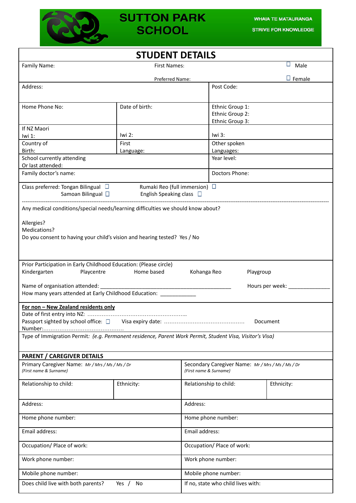

# **SUTTON PARK SCHOOL**

| <b>STUDENT DETAILS</b>                                                                                                              |                     |                                                                     |                                                       |                  |  |
|-------------------------------------------------------------------------------------------------------------------------------------|---------------------|---------------------------------------------------------------------|-------------------------------------------------------|------------------|--|
| Family Name:                                                                                                                        | <b>First Names:</b> |                                                                     | ⊔<br>Male                                             |                  |  |
|                                                                                                                                     | Preferred Name:     |                                                                     |                                                       | $\square$ Female |  |
| Address:                                                                                                                            |                     |                                                                     | Post Code:                                            |                  |  |
| Home Phone No:                                                                                                                      | Date of birth:      |                                                                     | Ethnic Group 1:<br>Ethnic Group 2:<br>Ethnic Group 3: |                  |  |
| If NZ Maori<br>Iwi $1$ :                                                                                                            | Iwi 2:              |                                                                     | Iwi $3$ :                                             |                  |  |
| Country of                                                                                                                          | First               |                                                                     | Other spoken                                          |                  |  |
| School currently attending<br>Or last attended:                                                                                     | Birth:<br>Language: |                                                                     | Languages:<br>Year level:                             |                  |  |
| Family doctor's name:                                                                                                               |                     |                                                                     | Doctors Phone:                                        |                  |  |
| Class preferred: Tongan Bilingual $\Box$<br>Rumaki Reo (full immersion) □<br>Samoan Bilingual $\square$<br>English Speaking class □ |                     |                                                                     |                                                       |                  |  |
| Any medical conditions/special needs/learning difficulties we should know about?                                                    |                     |                                                                     |                                                       |                  |  |
| Allergies?<br>Medications?<br>Do you consent to having your child's vision and hearing tested? Yes / No                             |                     |                                                                     |                                                       |                  |  |
| Prior Participation in Early Childhood Education: (Please circle)                                                                   |                     |                                                                     |                                                       |                  |  |
| Kindergarten<br>Playcentre                                                                                                          | Home based          | Kohanga Reo                                                         | Playgroup                                             |                  |  |
| Name of organisation attended:<br>How many years attended at Early Childhood Education: _                                           |                     |                                                                     |                                                       | Hours per week:  |  |
| For non - New Zealand residents only                                                                                                |                     |                                                                     |                                                       |                  |  |
| Document                                                                                                                            |                     |                                                                     |                                                       |                  |  |
| Type of Immigration Permit: (e.g. Permanent residence, Parent Work Permit, Student Visa, Visitor's Visa)                            |                     |                                                                     |                                                       |                  |  |
| <b>PARENT / CAREGIVER DETAILS</b>                                                                                                   |                     |                                                                     |                                                       |                  |  |
| Primary Caregiver Name: Mr / Mrs / Ms / Ms / Dr<br>(First name & Surname)                                                           |                     | Secondary Caregiver Name: Mr/Mrs/Ms/Ms/Dr<br>(First name & Surname) |                                                       |                  |  |
| Relationship to child:                                                                                                              | Ethnicity:          |                                                                     | Relationship to child:                                | Ethnicity:       |  |
| Address:                                                                                                                            |                     | Address:                                                            |                                                       |                  |  |
| Home phone number:                                                                                                                  |                     | Home phone number:                                                  |                                                       |                  |  |
| Email address:                                                                                                                      |                     | Email address:                                                      |                                                       |                  |  |
| Occupation/ Place of work:                                                                                                          |                     | Occupation/ Place of work:                                          |                                                       |                  |  |
| Work phone number:                                                                                                                  |                     | Work phone number:                                                  |                                                       |                  |  |
| Mobile phone number:                                                                                                                |                     | Mobile phone number:                                                |                                                       |                  |  |
| Does child live with both parents?<br>Yes $/$<br>No                                                                                 |                     | If no, state who child lives with:                                  |                                                       |                  |  |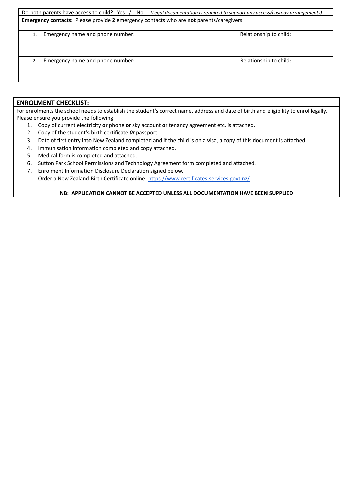Do both parents have access to child? Yes / No *(Legal documentation is required to support any access/custody arrangements)* **Emergency contacts:** Please provide **2** emergency contacts who are **not** parents/caregivers.

1. Emergency name and phone number:  $\blacksquare$  Relationship to child:

2. Emergency name and phone number:  $\blacksquare$  Relationship to child:

#### **ENROLMENT CHECKLIST:**

For enrolments the school needs to establish the student's correct name, address and date of birth and eligibility to enrol legally. Please ensure you provide the following:

- 1. Copy of current electricity **or** phone **or** sky account **or** tenancy agreement etc. is attached.
- 2. Copy of the student's birth certificate *0r* passport
- 3. Date of first entry into New Zealand completed and if the child is on a visa, a copy of this document is attached.
- 4. Immunisation information completed and copy attached.
- 5. Medical form is completed and attached.
- 6. Sutton Park School Permissions and Technology Agreement form completed and attached.
- 7. Enrolment Information Disclosure Declaration signed below. Order a New Zealand Birth Certificate online: <https://www.certificates.services.govt.nz/>

**NB: APPLICATION CANNOT BE ACCEPTED UNLESS ALL DOCUMENTATION HAVE BEEN SUPPLIED**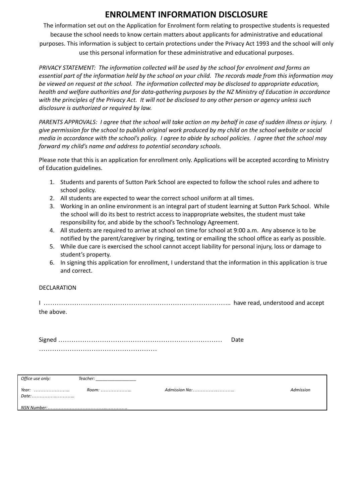### **ENROLMENT INFORMATION DISCLOSURE**

The information set out on the Application for Enrolment form relating to prospective students is requested because the school needs to know certain matters about applicants for administrative and educational purposes. This information is subject to certain protections under the Privacy Act 1993 and the school will only use this personal information for these administrative and educational purposes.

*PRIVACY STATEMENT: The information collected will be used by the school for enrolment and forms an* essential part of the information held by the school on your child. The records made from this information may *be viewed on request at the school. The information collected may be disclosed to appropriate education, health and welfare authorities and for data-gathering purposes by the NZ Ministry of Education in accordance* with the principles of the Privacy Act. It will not be disclosed to any other person or agency unless such *disclosure is authorized or required by law.*

PARENTS APPROVALS: I agree that the school will take action on my behalf in case of sudden illness or injury. I give permission for the school to publish original work produced by my child on the school website or social media in accordance with the school's policy. I agree to abide by school policies. I agree that the school may *forward my child's name and address to potential secondary schools.*

Please note that this is an application for enrollment only. Applications will be accepted according to Ministry of Education guidelines.

- 1. Students and parents of Sutton Park School are expected to follow the school rules and adhere to school policy.
- 2. All students are expected to wear the correct school uniform at all times.
- 3. Working in an online environment is an integral part of student learning at Sutton Park School. While the school will do its best to restrict access to inappropriate websites, the student must take responsibility for, and abide by the school's Technology Agreement.
- 4. All students are required to arrive at school on time for school at 9:00 a.m. Any absence is to be notified by the parent/caregiver by ringing, texting or emailing the school office as early as possible.
- 5. While due care is exercised the school cannot accept liability for personal injury, loss or damage to student's property.
- 6. In signing this application for enrollment, I understand that the information in this application is true and correct.

#### DECLARATION

| the above. |  |
|------------|--|

Signed ………………………………………………………………… Date ………………………………………………

| Office use only: | Teacher: |                  |
|------------------|----------|------------------|
| Year:<br>Date:   | Room:    | <b>Admission</b> |
|                  |          |                  |